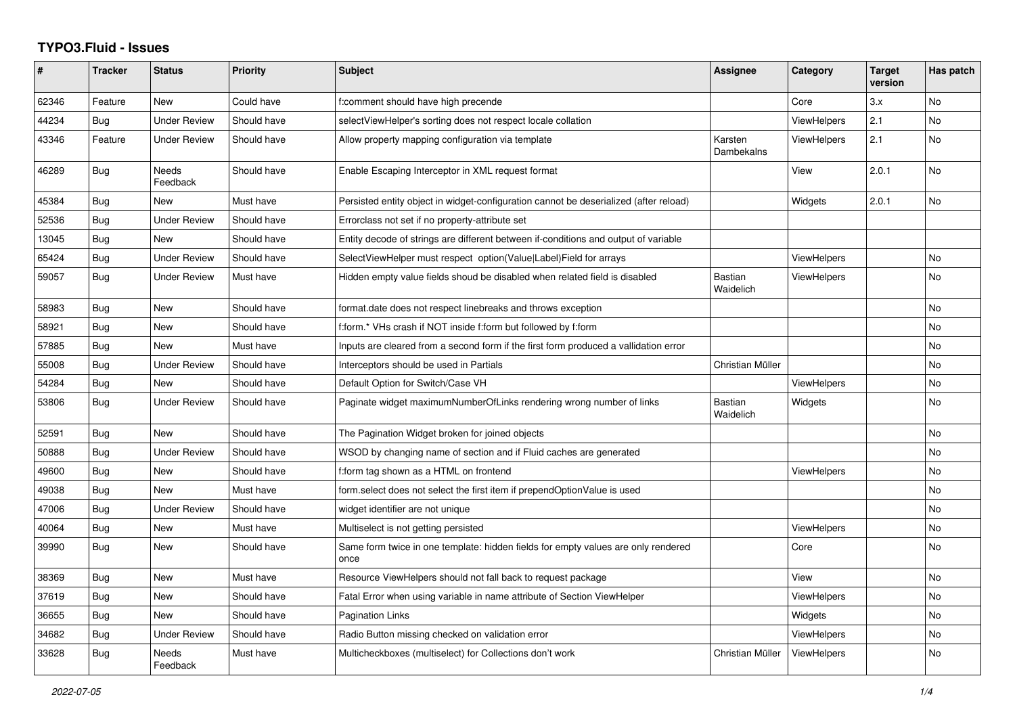## **TYPO3.Fluid - Issues**

| #     | <b>Tracker</b> | <b>Status</b>            | <b>Priority</b> | Subject                                                                                   | Assignee                    | Category           | <b>Target</b><br>version | Has patch |
|-------|----------------|--------------------------|-----------------|-------------------------------------------------------------------------------------------|-----------------------------|--------------------|--------------------------|-----------|
| 62346 | Feature        | <b>New</b>               | Could have      | f:comment should have high precende                                                       |                             | Core               | 3.x                      | <b>No</b> |
| 44234 | Bug            | <b>Under Review</b>      | Should have     | selectViewHelper's sorting does not respect locale collation                              |                             | <b>ViewHelpers</b> | 2.1                      | <b>No</b> |
| 43346 | Feature        | <b>Under Review</b>      | Should have     | Allow property mapping configuration via template                                         | Karsten<br>Dambekalns       | <b>ViewHelpers</b> | 2.1                      | No        |
| 46289 | <b>Bug</b>     | Needs<br>Feedback        | Should have     | Enable Escaping Interceptor in XML request format                                         |                             | View               | 2.0.1                    | <b>No</b> |
| 45384 | Bug            | <b>New</b>               | Must have       | Persisted entity object in widget-configuration cannot be deserialized (after reload)     |                             | Widgets            | 2.0.1                    | <b>No</b> |
| 52536 | Bug            | <b>Under Review</b>      | Should have     | Errorclass not set if no property-attribute set                                           |                             |                    |                          |           |
| 13045 | Bug            | <b>New</b>               | Should have     | Entity decode of strings are different between if-conditions and output of variable       |                             |                    |                          |           |
| 65424 | Bug            | <b>Under Review</b>      | Should have     | SelectViewHelper must respect option(Value Label)Field for arrays                         |                             | <b>ViewHelpers</b> |                          | No        |
| 59057 | Bug            | <b>Under Review</b>      | Must have       | Hidden empty value fields shoud be disabled when related field is disabled                | Bastian<br>Waidelich        | <b>ViewHelpers</b> |                          | <b>No</b> |
| 58983 | Bug            | <b>New</b>               | Should have     | format date does not respect linebreaks and throws exception                              |                             |                    |                          | <b>No</b> |
| 58921 | Bug            | New                      | Should have     | f:form.* VHs crash if NOT inside f:form but followed by f:form                            |                             |                    |                          | No        |
| 57885 | Bug            | <b>New</b>               | Must have       | Inputs are cleared from a second form if the first form produced a vallidation error      |                             |                    |                          | No        |
| 55008 | Bug            | <b>Under Review</b>      | Should have     | Interceptors should be used in Partials                                                   | Christian Müller            |                    |                          | <b>No</b> |
| 54284 | Bug            | New                      | Should have     | Default Option for Switch/Case VH                                                         |                             | ViewHelpers        |                          | No        |
| 53806 | <b>Bug</b>     | <b>Under Review</b>      | Should have     | Paginate widget maximumNumberOfLinks rendering wrong number of links                      | <b>Bastian</b><br>Waidelich | Widgets            |                          | No.       |
| 52591 | Bug            | <b>New</b>               | Should have     | The Pagination Widget broken for joined objects                                           |                             |                    |                          | No        |
| 50888 | Bug            | <b>Under Review</b>      | Should have     | WSOD by changing name of section and if Fluid caches are generated                        |                             |                    |                          | No        |
| 49600 | Bug            | New                      | Should have     | f:form tag shown as a HTML on frontend                                                    |                             | ViewHelpers        |                          | No        |
| 49038 | <b>Bug</b>     | <b>New</b>               | Must have       | form select does not select the first item if prependOptionValue is used                  |                             |                    |                          | No        |
| 47006 | Bug            | <b>Under Review</b>      | Should have     | widget identifier are not unique                                                          |                             |                    |                          | <b>No</b> |
| 40064 | Bug            | New                      | Must have       | Multiselect is not getting persisted                                                      |                             | <b>ViewHelpers</b> |                          | No        |
| 39990 | Bug            | New                      | Should have     | Same form twice in one template: hidden fields for empty values are only rendered<br>once |                             | Core               |                          | No        |
| 38369 | Bug            | <b>New</b>               | Must have       | Resource ViewHelpers should not fall back to request package                              |                             | View               |                          | No.       |
| 37619 | Bug            | <b>New</b>               | Should have     | Fatal Error when using variable in name attribute of Section ViewHelper                   |                             | <b>ViewHelpers</b> |                          | <b>No</b> |
| 36655 | Bug            | New                      | Should have     | Pagination Links                                                                          |                             | Widgets            |                          | No        |
| 34682 | <b>Bug</b>     | <b>Under Review</b>      | Should have     | Radio Button missing checked on validation error                                          |                             | <b>ViewHelpers</b> |                          | No        |
| 33628 | Bug            | <b>Needs</b><br>Feedback | Must have       | Multicheckboxes (multiselect) for Collections don't work                                  | Christian Müller            | <b>ViewHelpers</b> |                          | No.       |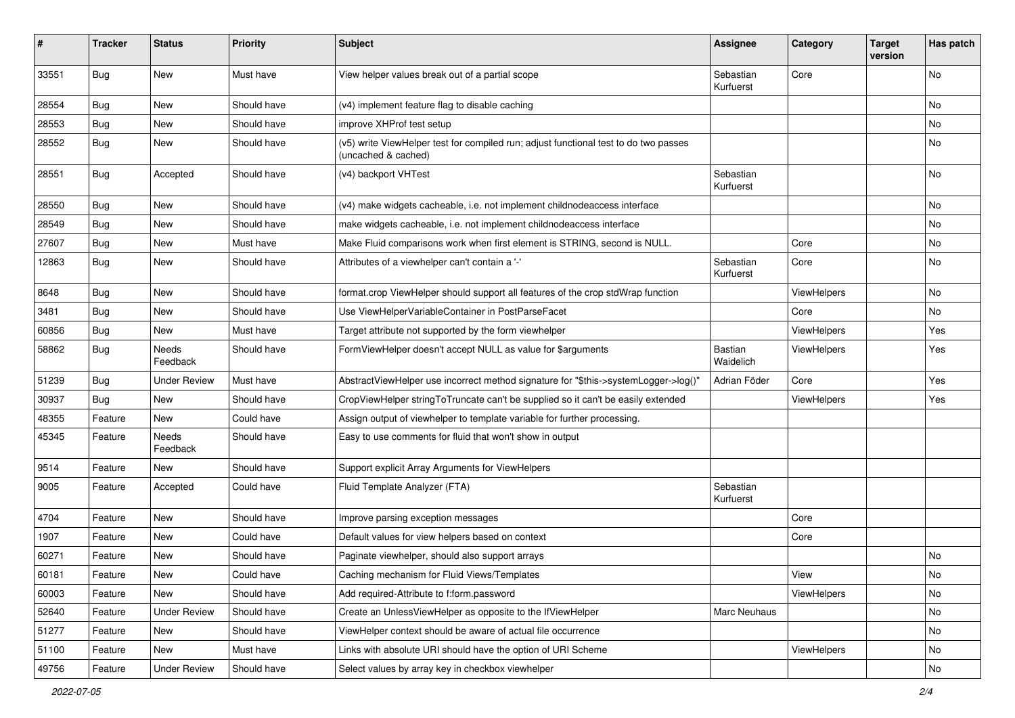| #     | <b>Tracker</b> | <b>Status</b>       | <b>Priority</b> | Subject                                                                                                     | <b>Assignee</b>             | Category    | <b>Target</b><br>version | Has patch |
|-------|----------------|---------------------|-----------------|-------------------------------------------------------------------------------------------------------------|-----------------------------|-------------|--------------------------|-----------|
| 33551 | Bug            | New                 | Must have       | View helper values break out of a partial scope                                                             | Sebastian<br>Kurfuerst      | Core        |                          | No        |
| 28554 | Bug            | New                 | Should have     | (v4) implement feature flag to disable caching                                                              |                             |             |                          | No        |
| 28553 | Bug            | New                 | Should have     | improve XHProf test setup                                                                                   |                             |             |                          | No        |
| 28552 | Bug            | New                 | Should have     | (v5) write ViewHelper test for compiled run; adjust functional test to do two passes<br>(uncached & cached) |                             |             |                          | No        |
| 28551 | Bug            | Accepted            | Should have     | (v4) backport VHTest                                                                                        | Sebastian<br>Kurfuerst      |             |                          | No        |
| 28550 | Bug            | New                 | Should have     | (v4) make widgets cacheable, i.e. not implement childnodeaccess interface                                   |                             |             |                          | No        |
| 28549 | Bug            | New                 | Should have     | make widgets cacheable, i.e. not implement childnodeaccess interface                                        |                             |             |                          | No        |
| 27607 | Bug            | New                 | Must have       | Make Fluid comparisons work when first element is STRING, second is NULL.                                   |                             | Core        |                          | No        |
| 12863 | Bug            | New                 | Should have     | Attributes of a viewhelper can't contain a '-'                                                              | Sebastian<br>Kurfuerst      | Core        |                          | No        |
| 8648  | Bug            | New                 | Should have     | format.crop ViewHelper should support all features of the crop stdWrap function                             |                             | ViewHelpers |                          | No        |
| 3481  | Bug            | New                 | Should have     | Use ViewHelperVariableContainer in PostParseFacet                                                           |                             | Core        |                          | No        |
| 60856 | Bug            | New                 | Must have       | Target attribute not supported by the form viewhelper                                                       |                             | ViewHelpers |                          | Yes       |
| 58862 | Bug            | Needs<br>Feedback   | Should have     | FormViewHelper doesn't accept NULL as value for \$arguments                                                 | <b>Bastian</b><br>Waidelich | ViewHelpers |                          | Yes       |
| 51239 | Bug            | Under Review        | Must have       | AbstractViewHelper use incorrect method signature for "\$this->systemLogger->log()"                         | Adrian Föder                | Core        |                          | Yes       |
| 30937 | Bug            | New                 | Should have     | CropViewHelper stringToTruncate can't be supplied so it can't be easily extended                            |                             | ViewHelpers |                          | Yes       |
| 48355 | Feature        | New                 | Could have      | Assign output of viewhelper to template variable for further processing.                                    |                             |             |                          |           |
| 45345 | Feature        | Needs<br>Feedback   | Should have     | Easy to use comments for fluid that won't show in output                                                    |                             |             |                          |           |
| 9514  | Feature        | New                 | Should have     | Support explicit Array Arguments for ViewHelpers                                                            |                             |             |                          |           |
| 9005  | Feature        | Accepted            | Could have      | Fluid Template Analyzer (FTA)                                                                               | Sebastian<br>Kurfuerst      |             |                          |           |
| 4704  | Feature        | New                 | Should have     | Improve parsing exception messages                                                                          |                             | Core        |                          |           |
| 1907  | Feature        | New                 | Could have      | Default values for view helpers based on context                                                            |                             | Core        |                          |           |
| 60271 | Feature        | New                 | Should have     | Paginate viewhelper, should also support arrays                                                             |                             |             |                          | No        |
| 60181 | Feature        | New                 | Could have      | Caching mechanism for Fluid Views/Templates                                                                 |                             | View        |                          | No        |
| 60003 | Feature        | New                 | Should have     | Add required-Attribute to f:form.password                                                                   |                             | ViewHelpers |                          | No        |
| 52640 | Feature        | <b>Under Review</b> | Should have     | Create an UnlessViewHelper as opposite to the IfViewHelper                                                  | Marc Neuhaus                |             |                          | No        |
| 51277 | Feature        | New                 | Should have     | ViewHelper context should be aware of actual file occurrence                                                |                             |             |                          | No        |
| 51100 | Feature        | New                 | Must have       | Links with absolute URI should have the option of URI Scheme                                                |                             | ViewHelpers |                          | No        |
| 49756 | Feature        | <b>Under Review</b> | Should have     | Select values by array key in checkbox viewhelper                                                           |                             |             |                          | No        |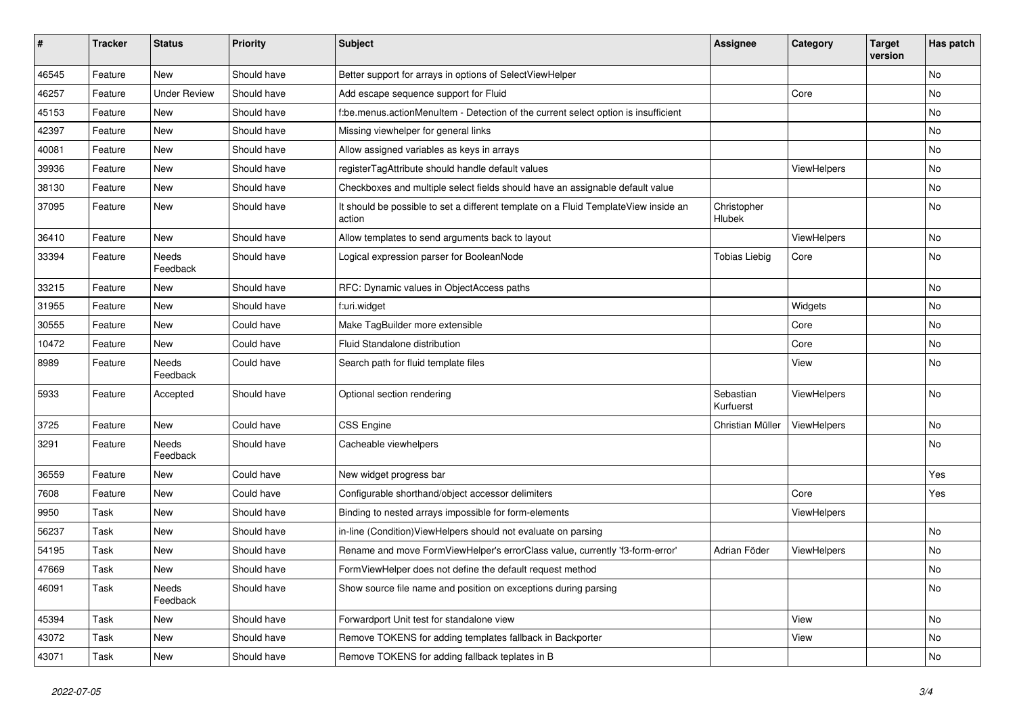| #     | <b>Tracker</b> | <b>Status</b>            | <b>Priority</b> | Subject                                                                                       | <b>Assignee</b>        | Category    | <b>Target</b><br>version | Has patch |
|-------|----------------|--------------------------|-----------------|-----------------------------------------------------------------------------------------------|------------------------|-------------|--------------------------|-----------|
| 46545 | Feature        | New                      | Should have     | Better support for arrays in options of SelectViewHelper                                      |                        |             |                          | <b>No</b> |
| 46257 | Feature        | <b>Under Review</b>      | Should have     | Add escape sequence support for Fluid                                                         |                        | Core        |                          | No        |
| 45153 | Feature        | New                      | Should have     | f:be.menus.actionMenuItem - Detection of the current select option is insufficient            |                        |             |                          | No        |
| 42397 | Feature        | New                      | Should have     | Missing viewhelper for general links                                                          |                        |             |                          | No        |
| 40081 | Feature        | New                      | Should have     | Allow assigned variables as keys in arrays                                                    |                        |             |                          | No        |
| 39936 | Feature        | New                      | Should have     | registerTagAttribute should handle default values                                             |                        | ViewHelpers |                          | No        |
| 38130 | Feature        | New                      | Should have     | Checkboxes and multiple select fields should have an assignable default value                 |                        |             |                          | No        |
| 37095 | Feature        | New                      | Should have     | It should be possible to set a different template on a Fluid TemplateView inside an<br>action | Christopher<br>Hlubek  |             |                          | No        |
| 36410 | Feature        | New                      | Should have     | Allow templates to send arguments back to layout                                              |                        | ViewHelpers |                          | No        |
| 33394 | Feature        | Needs<br>Feedback        | Should have     | Logical expression parser for BooleanNode                                                     | <b>Tobias Liebig</b>   | Core        |                          | No        |
| 33215 | Feature        | New                      | Should have     | RFC: Dynamic values in ObjectAccess paths                                                     |                        |             |                          | No        |
| 31955 | Feature        | New                      | Should have     | f:uri.widget                                                                                  |                        | Widgets     |                          | <b>No</b> |
| 30555 | Feature        | New                      | Could have      | Make TagBuilder more extensible                                                               |                        | Core        |                          | No        |
| 10472 | Feature        | New                      | Could have      | Fluid Standalone distribution                                                                 |                        | Core        |                          | No        |
| 8989  | Feature        | Needs<br>Feedback        | Could have      | Search path for fluid template files                                                          |                        | View        |                          | No        |
| 5933  | Feature        | Accepted                 | Should have     | Optional section rendering                                                                    | Sebastian<br>Kurfuerst | ViewHelpers |                          | No        |
| 3725  | Feature        | New                      | Could have      | CSS Engine                                                                                    | Christian Müller       | ViewHelpers |                          | No        |
| 3291  | Feature        | <b>Needs</b><br>Feedback | Should have     | Cacheable viewhelpers                                                                         |                        |             |                          | No        |
| 36559 | Feature        | New                      | Could have      | New widget progress bar                                                                       |                        |             |                          | Yes       |
| 7608  | Feature        | New                      | Could have      | Configurable shorthand/object accessor delimiters                                             |                        | Core        |                          | Yes       |
| 9950  | Task           | New                      | Should have     | Binding to nested arrays impossible for form-elements                                         |                        | ViewHelpers |                          |           |
| 56237 | Task           | New                      | Should have     | in-line (Condition) View Helpers should not evaluate on parsing                               |                        |             |                          | No        |
| 54195 | Task           | New                      | Should have     | Rename and move FormViewHelper's errorClass value, currently 'f3-form-error'                  | Adrian Föder           | ViewHelpers |                          | No        |
| 47669 | Task           | New                      | Should have     | FormViewHelper does not define the default request method                                     |                        |             |                          | No        |
| 46091 | Task           | Needs<br>Feedback        | Should have     | Show source file name and position on exceptions during parsing                               |                        |             |                          | No        |
| 45394 | Task           | New                      | Should have     | Forwardport Unit test for standalone view                                                     |                        | View        |                          | No        |
| 43072 | Task           | New                      | Should have     | Remove TOKENS for adding templates fallback in Backporter                                     |                        | View        |                          | No        |
| 43071 | Task           | New                      | Should have     | Remove TOKENS for adding fallback teplates in B                                               |                        |             |                          | No        |